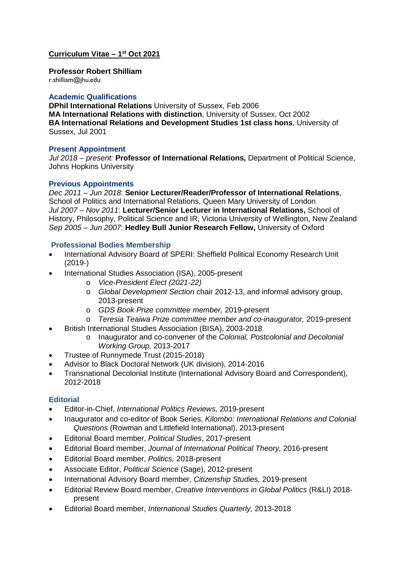#### **Curriculum Vitae – 1st Oct 2021**

**Professor Robert Shilliam**

r.shilliam@jhu.edu

#### **Academic Qualifications**

**DPhil International Relations** University of Sussex, Feb 2006 **MA International Relations with distinction**, University of Sussex, Oct 2002 **BA International Relations and Development Studies 1st class hons**, University of Sussex, Jul 2001

#### **Present Appointment**

*Jul 2018 – present:* **Professor of International Relations,** Department of Political Science, Johns Hopkins University

#### **Previous Appointments**

*Dec 2011 – Jun 2018*: **Senior Lecturer/Reader/Professor of International Relations**, School of Politics and International Relations, Queen Mary University of London *Jul 2007 – Nov 2011*: **Lecturer/Senior Lecturer in International Relations,** School of History, Philosophy, Political Science and IR, Victoria University of Wellington, New Zealand *Sep 2005 – Jun 2007*: **Hedley Bull Junior Research Fellow,** University of Oxford

#### **Professional Bodies Membership**

- International Advisory Board of SPERI: Sheffield Political Economy Research Unit (2019-)
- International Studies Association (ISA), 2005-present
	- o *Vice-President Elect (2021-22)*
	- o *Global Development Section* chair 2012-13, and informal advisory group, 2013-present
	- o *GDS Book Prize committee member,* 2019-present
	- o *Teresia Teaiwa Prize committee member and co-inaugurator,* 2019-present
- British International Studies Association (BISA), 2003-2018
	- o Inaugurator and co-convener of the *Colonial, Postcolonial and Decolonial Working Group,* 2013-2017
- Trustee of Runnymede Trust (2015-2018)
- Advisor to Black Doctoral Network (UK division), 2014-2016
- Transnational Decolonial Institute (International Advisory Board and Correspondent), 2012-2018

#### **Editorial**

- Editor-in-Chief, *International Politics Reviews,* 2019-present
- Inaugurator and co-editor of Book Series, *Kilombo: International Relations and Colonial Questions* (Rowman and Littlefield International), 2013-present
- Editorial Board member, *Political Studies*, 2017-present
- Editorial Board member, *Journal of International Political Theory,* 2016-present
- Editorial Board member, *Politics,* 2018-present
- Associate Editor, *Political Science* (Sage), 2012-present
- International Advisory Board member, *Citizenship Studies,* 2019-present
- Editorial Review Board member, *Creative Interventions in Global Politics* (R&LI) 2018 present
- Editorial Board member, *International Studies Quarterly,* 2013-2018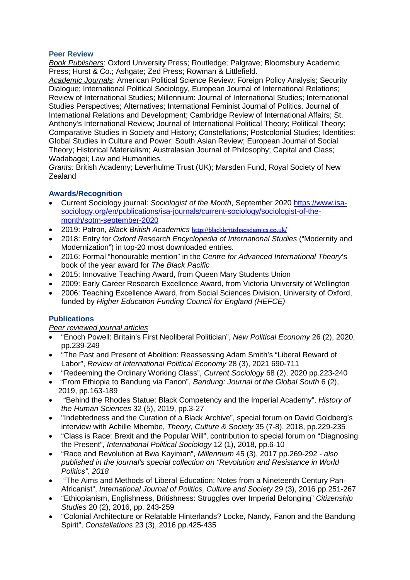#### **Peer Review**

*Book Publishers*: Oxford University Press; Routledge; Palgrave; Bloomsbury Academic Press; Hurst & Co.; Ashgate; Zed Press; Rowman & Littlefield.

*Academic Journals*: American Political Science Review; Foreign Policy Analysis; Security Dialogue; International Political Sociology, European Journal of International Relations; Review of International Studies; Millennium: Journal of International Studies; International Studies Perspectives; Alternatives; International Feminist Journal of Politics. Journal of International Relations and Development; Cambridge Review of International Affairs; St. Anthony's International Review; Journal of International Political Theory; Political Theory; Comparative Studies in Society and History; Constellations; Postcolonial Studies; Identities: Global Studies in Culture and Power; South Asian Review; European Journal of Social Theory; Historical Materialism; Australasian Journal of Philosophy; Capital and Class; Wadabagei; Law and Humanities.

*Grants:* British Academy; Leverhulme Trust (UK); Marsden Fund, Royal Society of New Zealand

## **Awards/Recognition**

- Current Sociology journal: *Sociologist of the Month*, September 2020 [https://www.isa](https://www.isa-sociology.org/en/publications/isa-journals/current-sociology/sociologist-of-the-month/sotm-september-2020)[sociology.org/en/publications/isa-journals/current-sociology/sociologist-of-the](https://www.isa-sociology.org/en/publications/isa-journals/current-sociology/sociologist-of-the-month/sotm-september-2020)[month/sotm-september-2020](https://www.isa-sociology.org/en/publications/isa-journals/current-sociology/sociologist-of-the-month/sotm-september-2020)
- 2019: Patron, *Black British Academics* <http://blackbritishacademics.co.uk/>
- 2018: Entry for *Oxford Research Encyclopedia of International Studies* ("Modernity and Modernization") in top-20 most downloaded entries.
- 2016: Formal "honourable mention" in the *Centre for Advanced International Theory*'s book of the year award for *The Black Pacific*
- 2015: Innovative Teaching Award, from Queen Mary Students Union
- 2009: Early Career Research Excellence Award, from Victoria University of Wellington
- 2006: Teaching Excellence Award, from Social Sciences Division, University of Oxford, funded by *Higher Education Funding Council for England (HEFCE)*

## **Publications**

#### *Peer reviewed journal articles*

- "Enoch Powell: Britain's First Neoliberal Politician", *New Political Economy* 26 (2), 2020, pp.239-249
- "The Past and Present of Abolition: Reassessing Adam Smith's "Liberal Reward of Labor", *Review of International Political Economy* 28 (3), 2021 690-711
- "Redeeming the Ordinary Working Class", *Current Sociology* 68 (2), 2020 pp.223-240
- "From Ethiopia to Bandung via Fanon", *Bandung: Journal of the Global South* 6 (2), 2019, pp.163-189
- "Behind the Rhodes Statue: Black Competency and the Imperial Academy", *History of the Human Sciences* 32 (5), 2019, pp.3-27
- "Indebtedness and the Curation of a Black Archive", special forum on David Goldberg's interview with Achille Mbembe, *Theory, Culture & Society* 35 (7-8), 2018, pp.229-235
- "Class is Race: Brexit and the Popular Will", contribution to special forum on "Diagnosing the Present", *International Political Sociology* 12 (1), 2018, pp.6-10
- "Race and Revolution at Bwa Kayiman", *Millennium* 45 (3), 2017 pp.269-292 *also published in the journal's special collection on "Revolution and Resistance in World Politics", 2018*
- "The Aims and Methods of Liberal Education: Notes from a Nineteenth Century Pan-Africanist", *International Journal of Politics, Culture and Society* 29 (3), 2016 pp.251-267
- "Ethiopianism, Englishness, Britishness: Struggles over Imperial Belonging" *Citizenship Studies* 20 (2), 2016, pp. 243-259
- "Colonial Architecture or Relatable Hinterlands? Locke, Nandy, Fanon and the Bandung Spirit", *Constellations* 23 (3), 2016 pp.425-435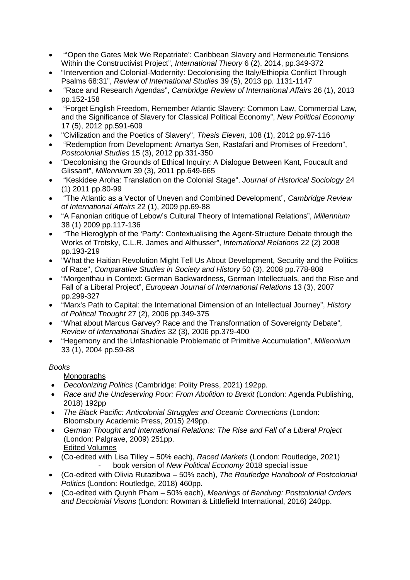- "'Open the Gates Mek We Repatriate': Caribbean Slavery and Hermeneutic Tensions Within the Constructivist Project", *International Theory* 6 (2), 2014, pp.349-372
- "Intervention and Colonial-Modernity: Decolonising the Italy/Ethiopia Conflict Through Psalms 68:31", *Review of International Studies* 39 (5), 2013 pp. 1131-1147
- "Race and Research Agendas", *Cambridge Review of International Affairs* 26 (1), 2013 pp.152-158
- "Forget English Freedom, Remember Atlantic Slavery: Common Law, Commercial Law, and the Significance of Slavery for Classical Political Economy", *New Political Economy*  17 (5), 2012 pp.591-609
- "Civilization and the Poetics of Slavery", *Thesis Eleven*, 108 (1), 2012 pp.97-116
- "Redemption from Development: Amartya Sen, Rastafari and Promises of Freedom", *Postcolonial Studies* 15 (3), 2012 pp.331-350
- "Decolonising the Grounds of Ethical Inquiry: A Dialogue Between Kant, Foucault and Glissant", *Millennium* 39 (3), 2011 pp.649-665
- "Keskidee Aroha: Translation on the Colonial Stage", *Journal of Historical Sociology* 24 (1) 2011 pp.80-99
- "The Atlantic as a Vector of Uneven and Combined Development", *Cambridge Review of International Affairs* 22 (1), 2009 pp.69-88
- "A Fanonian critique of Lebow's Cultural Theory of International Relations", *Millennium*  38 (1) 2009 pp.117-136
- "The Hieroglyph of the 'Party': Contextualising the Agent-Structure Debate through the Works of Trotsky, C.L.R. James and Althusser", *International Relations* 22 (2) 2008 pp.193-219
- "What the Haitian Revolution Might Tell Us About Development, Security and the Politics of Race", *Comparative Studies in Society and History* 50 (3), 2008 pp.778-808
- "Morgenthau in Context: German Backwardness, German Intellectuals, and the Rise and Fall of a Liberal Project", *European Journal of International Relations* 13 (3), 2007 pp.299-327
- "Marx's Path to Capital: the International Dimension of an Intellectual Journey", *History of Political Thought* 27 (2), 2006 pp.349-375
- "What about Marcus Garvey? Race and the Transformation of Sovereignty Debate", *Review of International Studies* 32 (3), 2006 pp.379-400
- "Hegemony and the Unfashionable Problematic of Primitive Accumulation", *Millennium* 33 (1), 2004 pp.59-88

# *Books*

Monographs

- *Decolonizing Politics* (Cambridge: Polity Press, 2021) 192pp.
- *Race and the Undeserving Poor: From Abolition to Brexit* (London: Agenda Publishing, 2018) 192pp
- *The Black Pacific: Anticolonial Struggles and Oceanic Connections* (London: Bloomsbury Academic Press, 2015) 249pp.
- *German Thought and International Relations: The Rise and Fall of a Liberal Project*  (London: Palgrave, 2009) 251pp. Edited Volumes
- (Co-edited with Lisa Tilley 50% each), *Raced Markets* (London: Routledge, 2021) - book version of *New Political Economy* 2018 special issue
- (Co-edited with Olivia Rutazibwa 50% each), *The Routledge Handbook of Postcolonial Politics* (London: Routledge, 2018) 460pp.
- (Co-edited with Quynh Pham 50% each), *Meanings of Bandung: Postcolonial Orders and Decolonial Visons* (London: Rowman & Littlefield International, 2016) 240pp.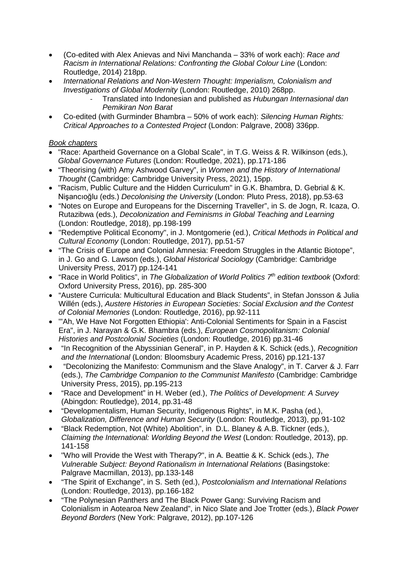- (Co-edited with Alex Anievas and Nivi Manchanda 33% of work each): *Race and Racism in International Relations: Confronting the Global Colour Line (London:* Routledge, 2014) 218pp.
- *International Relations and Non-Western Thought: Imperialism, Colonialism and Investigations of Global Modernity* (London: Routledge, 2010) 268pp.
	- Translated into Indonesian and published as *Hubungan Internasional dan Pemikiran Non Barat*
- Co-edited (with Gurminder Bhambra 50% of work each): *Silencing Human Rights: Critical Approaches to a Contested Project* (London: Palgrave, 2008) 336pp.

## *Book chapters*

- "Race: Apartheid Governance on a Global Scale", in T.G. Weiss & R. Wilkinson (eds.), *Global Governance Futures* (London: Routledge, 2021), pp.171-186
- "Theorising (with) Amy Ashwood Garvey", in *Women and the History of International Thought* (Cambridge: Cambridge University Press, 2021), 15pp.
- "Racism, Public Culture and the Hidden Curriculum" in G.K. Bhambra, D. Gebrial & K. Nişancıoğlu (eds.) *Decolonising the University* (London: Pluto Press, 2018), pp.53-63
- "Notes on Europe and Europeans for the Discerning Traveller", in S. de Jogn, R. Icaza, O. Rutazibwa (eds.), *Decolonization and Feminisms in Global Teaching and Learning* (London: Routledge, 2018), pp.198-199
- "Redemptive Political Economy", in J. Montgomerie (ed.), *Critical Methods in Political and Cultural Economy* (London: Routledge, 2017), pp.51-57
- "The Crisis of Europe and Colonial Amnesia: Freedom Struggles in the Atlantic Biotope", in J. Go and G. Lawson (eds.), *Global Historical Sociology* (Cambridge: Cambridge University Press, 2017) pp.124-141
- "Race in World Politics", in *The Globalization of World Politics 7th edition textbook* (Oxford: Oxford University Press, 2016), pp. 285-300
- "Austere Curricula: Multicultural Education and Black Students", in Stefan Jonsson & Julia Willén (eds.), *Austere Histories in European Societies: Social Exclusion and the Contest of Colonial Memories* (London: Routledge, 2016), pp.92-111
- "'Ah, We Have Not Forgotten Ethiopia': Anti-Colonial Sentiments for Spain in a Fascist Era", in J. Narayan & G.K. Bhambra (eds.), *European Cosmopolitanism: Colonial Histories and Postcolonial Societies* (London: Routledge, 2016) pp.31-46
- "In Recognition of the Abyssinian General", in P. Hayden & K. Schick (eds.), *Recognition and the International* (London: Bloomsbury Academic Press, 2016) pp.121-137
- "Decolonizing the Manifesto: Communism and the Slave Analogy", in T. Carver & J. Farr (eds.), *The Cambridge Companion to the Communist Manifesto* (Cambridge: Cambridge University Press, 2015), pp.195-213
- "Race and Development" in H. Weber (ed.), *The Politics of Development: A Survey*  (Abingdon: Routledge), 2014, pp.31-48
- "Developmentalism, Human Security, Indigenous Rights", in M.K. Pasha (ed.), *Globalization, Difference and Human Security* (London: Routledge, 2013), pp.91-102
- "Black Redemption, Not (White) Abolition", in D.L. Blaney & A.B. Tickner (eds.), *Claiming the International: Worlding Beyond the West* (London: Routledge, 2013), pp. 141-158
- "Who will Provide the West with Therapy?", in A. Beattie & K. Schick (eds.), *The Vulnerable Subject: Beyond Rationalism in International Relations* (Basingstoke: Palgrave Macmillan, 2013), pp.133-148
- "The Spirit of Exchange", in S. Seth (ed.), *Postcolonialism and International Relations* (London: Routledge, 2013), pp.166-182
- "The Polynesian Panthers and The Black Power Gang: Surviving Racism and Colonialism in Aotearoa New Zealand", in Nico Slate and Joe Trotter (eds.), *Black Power Beyond Borders* (New York: Palgrave, 2012), pp.107-126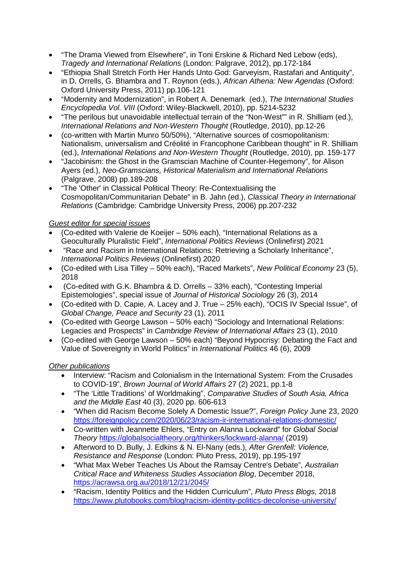- "The Drama Viewed from Elsewhere", in Toni Erskine & Richard Ned Lebow (eds), *Tragedy and International Relations* (London: Palgrave, 2012), pp.172-184
- "Ethiopia Shall Stretch Forth Her Hands Unto God: Garveyism, Rastafari and Antiquity", in D. Orrells, G. Bhambra and T. Roynon (eds.), *African Athena: New Agendas* (Oxford: Oxford University Press, 2011) pp.106-121
- "Modernity and Modernization", in Robert A. Denemark (ed.), *The International Studies Encyclopedia Vol. VIII* (Oxford: Wiley-Blackwell, 2010), pp. 5214-5232
- "The perilous but unavoidable intellectual terrain of the "Non-West"" in R. Shilliam (ed.), *International Relations and Non-Western Thought* (Routledge, 2010), pp.12-26
- (co-written with Martin Munro 50/50%), "Alternative sources of cosmopolitanism: Nationalism, universalism and Créolité in Francophone Caribbean thought" in R. Shilliam (ed.), *International Relations and Non-Western Thought* (Routledge, 2010), pp. 159-177
- "Jacobinism: the Ghost in the Gramscian Machine of Counter-Hegemony", for Alison Ayers (ed.), *Neo-Gramscians, Historical Materialism and International Relations* (Palgrave, 2008) pp.189-208
- "The 'Other' in Classical Political Theory: Re-Contextualising the Cosmopolitan/Communitarian Debate" in B. Jahn (ed.), *Classical Theory in International Relations* (Cambridge: Cambridge University Press, 2006) pp.207-232

## *Guest editor for special issues*

- (Co-edited with Valerie de Koeijer 50% each), "International Relations as a Geoculturally Pluralistic Field", *International Politics Reviews* (Onlinefirst) 2021
- "Race and Racism in International Relations: Retrieving a Scholarly Inheritance", *International Politics Reviews* (Onlinefirst) 2020
- (Co-edited with Lisa Tilley 50% each), "Raced Markets", *New Political Economy* 23 (5), 2018
- (Co-edited with G.K. Bhambra & D. Orrells 33% each), "Contesting Imperial Epistemologies", special issue of *Journal of Historical Sociology* 26 (3), 2014
- (Co-edited with D. Capie, A. Lacey and J. True 25% each), "OCIS IV Special Issue", of *Global Change, Peace and Security* 23 (1), 2011
- (Co-edited with George Lawson 50% each) "Sociology and International Relations: Legacies and Prospects" in *Cambridge Review of International Affairs* 23 (1), 2010
- (Co-edited with George Lawson 50% each) "Beyond Hypocrisy: Debating the Fact and Value of Sovereignty in World Politics" in *International Politics* 46 (6), 2009

## *Other publications*

- Interview: "Racism and Colonialism in the International System: From the Crusades to COVID-19", *Brown Journal of World Affairs* 27 (2) 2021, pp.1-8
- "The 'Little Traditions' of Worldmaking", *Comparative Studies of South Asia, Africa and the Middle East* 40 (3), 2020 pp. 606-613
- "When did Racism Become Solely A Domestic Issue?", *Foreign Policy* June 23, 2020 <https://foreignpolicy.com/2020/06/23/racism-ir-international-relations-domestic/>
- Co-written with Jeannette Ehlers, "Entry on Alanna Lockward" for *Global Social Theory* <https://globalsocialtheory.org/thinkers/lockward-alanna/> (2019)
- Afterword to D. Bully, J. Edkins & N. El-Nany (eds.), *After Grenfell: Violence, Resistance and Response* (London: Pluto Press, 2019), pp.195-197
- "What Max Weber Teaches Us About the Ramsay Centre's Debate", *Australian Critical Race and Whiteness Studies Association Blog*, December 2018, <https://acrawsa.org.au/2018/12/21/2045/>
- "Racism, Identity Politics and the Hidden Curriculum", *Pluto Press Blogs,* 2018 <https://www.plutobooks.com/blog/racism-identity-politics-decolonise-university/>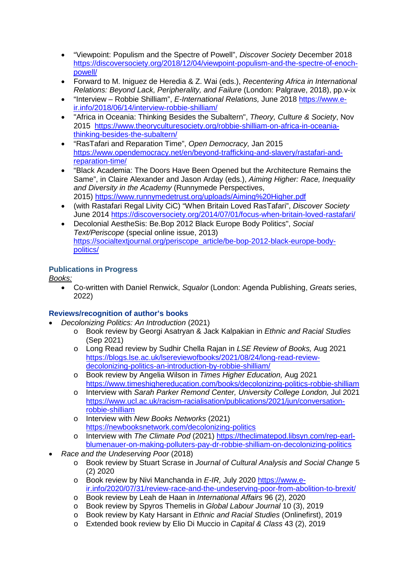- "Viewpoint: Populism and the Spectre of Powell", *Discover Society* December 2018 [https://discoversociety.org/2018/12/04/viewpoint-populism-and-the-spectre-of-enoch](https://discoversociety.org/2018/12/04/viewpoint-populism-and-the-spectre-of-enoch-powell/)[powell/](https://discoversociety.org/2018/12/04/viewpoint-populism-and-the-spectre-of-enoch-powell/)
- Forward to M. Iniguez de Heredia & Z. Wai (eds.), *Recentering Africa in International Relations: Beyond Lack, Peripherality, and Failure* (London: Palgrave, 2018), pp.v-ix
- "Interview Robbie Shilliam", *E-International Relations,* June 2018 [https://www.e](https://www.e-ir.info/2018/06/14/interview-robbie-shilliam/)[ir.info/2018/06/14/interview-robbie-shilliam/](https://www.e-ir.info/2018/06/14/interview-robbie-shilliam/)
- "Africa in Oceania: Thinking Besides the Subaltern", *Theory, Culture & Society*, Nov 2015 [https://www.theoryculturesociety.org/robbie-shilliam-on-africa-in-oceania](https://www.theoryculturesociety.org/robbie-shilliam-on-africa-in-oceania-thinking-besides-the-subaltern/)[thinking-besides-the-subaltern/](https://www.theoryculturesociety.org/robbie-shilliam-on-africa-in-oceania-thinking-besides-the-subaltern/)
- "RasTafari and Reparation Time", *Open Democracy,* Jan 2015 [https://www.opendemocracy.net/en/beyond-trafficking-and-slavery/rastafari-and](https://www.opendemocracy.net/en/beyond-trafficking-and-slavery/rastafari-and-reparation-time/)[reparation-time/](https://www.opendemocracy.net/en/beyond-trafficking-and-slavery/rastafari-and-reparation-time/)
- "Black Academia: The Doors Have Been Opened but the Architecture Remains the Same", in Claire Alexander and Jason Arday (eds.), *Aiming Higher: Race, Inequality and Diversity in the Academy* (Runnymede Perspectives, 2015) <https://www.runnymedetrust.org/uploads/Aiming%20Higher.pdf>
- (with Rastafari Regal Livity CiC) "When Britain Loved RasTafari", *Discover Society* June 2014 <https://discoversociety.org/2014/07/01/focus-when-britain-loved-rastafari/>
- Decolonial AestheSis: Be.Bop 2012 Black Europe Body Politics", *Social Text/Periscope* (special online issue, 2013) [https://socialtextjournal.org/periscope\\_article/be-bop-2012-black-europe-body](https://socialtextjournal.org/periscope_article/be-bop-2012-black-europe-body-politics/)[politics/](https://socialtextjournal.org/periscope_article/be-bop-2012-black-europe-body-politics/)

## **Publications in Progress**

*Books:*

• Co-written with Daniel Renwick, *Squalor* (London: Agenda Publishing, *Greats* series, 2022)

## **Reviews/recognition of author's books**

- *Decolonizing Politics: An Introduction* (2021)
	- o Book review by Georgi Asatryan & Jack Kalpakian in *Ethnic and Racial Studies*  (Sep 2021)
	- o Long Read review by Sudhir Chella Rajan in *LSE Review of Books,* Aug 2021 [https://blogs.lse.ac.uk/lsereviewofbooks/2021/08/24/long-read-review](https://blogs.lse.ac.uk/lsereviewofbooks/2021/08/24/long-read-review-decolonizing-politics-an-introduction-by-robbie-shilliam/)[decolonizing-politics-an-introduction-by-robbie-shilliam/](https://blogs.lse.ac.uk/lsereviewofbooks/2021/08/24/long-read-review-decolonizing-politics-an-introduction-by-robbie-shilliam/)
	- o Book review by Angelia Wilson in *Times Higher Education,* Aug 2021 <https://www.timeshighereducation.com/books/decolonizing-politics-robbie-shilliam>
	- o Interview with *Sarah Parker Remond Center, University College London,* Jul 2021 [https://www.ucl.ac.uk/racism-racialisation/publications/2021/jun/conversation](https://www.ucl.ac.uk/racism-racialisation/publications/2021/jun/conversation-robbie-shilliam)[robbie-shilliam](https://www.ucl.ac.uk/racism-racialisation/publications/2021/jun/conversation-robbie-shilliam)
	- o Interview with *New Books Networks* (2021) <https://newbooksnetwork.com/decolonizing-politics>
	- o Interview with *The Climate Pod* (2021) [https://theclimatepod.libsyn.com/rep-earl](https://theclimatepod.libsyn.com/rep-earl-blumenauer-on-making-polluters-pay-dr-robbie-shilliam-on-decolonizing-politics)[blumenauer-on-making-polluters-pay-dr-robbie-shilliam-on-decolonizing-politics](https://theclimatepod.libsyn.com/rep-earl-blumenauer-on-making-polluters-pay-dr-robbie-shilliam-on-decolonizing-politics)
- *Race and the Undeserving Poor* (2018)
	- o Book review by Stuart Scrase in *Journal of Cultural Analysis and Social Change* 5 (2) 2020
	- o Book review by Nivi Manchanda in *E-IR,* July 2020 [https://www.e](https://www.e-ir.info/2020/07/31/review-race-and-the-undeserving-poor-from-abolition-to-brexit/)[ir.info/2020/07/31/review-race-and-the-undeserving-poor-from-abolition-to-brexit/](https://www.e-ir.info/2020/07/31/review-race-and-the-undeserving-poor-from-abolition-to-brexit/)
	- o Book review by Leah de Haan in *International Affairs* 96 (2), 2020
	- o Book review by Spyros Themelis in *Global Labour Journal* 10 (3), 2019
	- o Book review by Katy Harsant in *Ethnic and Racial Studies* (Onlinefirst), 2019
	- o Extended book review by Elio Di Muccio in *Capital & Class* 43 (2), 2019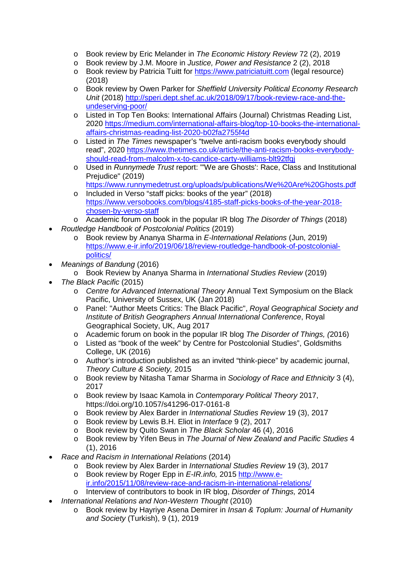- o Book review by Eric Melander in *The Economic History Review* 72 (2), 2019
- o Book review by J.M. Moore in *Justice, Power and Resistance* 2 (2), 2018
- o Book review by Patricia Tuitt for [https://www.patriciatuitt.com](https://www.patriciatuitt.com/) (legal resource) (2018)
- o Book review by Owen Parker for *Sheffield University Political Economy Research Unit* (2018) [http://speri.dept.shef.ac.uk/2018/09/17/book-review-race-and-the](http://speri.dept.shef.ac.uk/2018/09/17/book-review-race-and-the-undeserving-poor/)[undeserving-poor/](http://speri.dept.shef.ac.uk/2018/09/17/book-review-race-and-the-undeserving-poor/)
- o Listed in Top Ten Books: International Affairs (Journal) Christmas Reading List, 2020 [https://medium.com/international-affairs-blog/top-10-books-the-international](https://medium.com/international-affairs-blog/top-10-books-the-international-affairs-christmas-reading-list-2020-b02fa2755f4d)[affairs-christmas-reading-list-2020-b02fa2755f4d](https://medium.com/international-affairs-blog/top-10-books-the-international-affairs-christmas-reading-list-2020-b02fa2755f4d)
- o Listed in *The Times* newspaper's "twelve anti-racism books everybody should read", 2020 [https://www.thetimes.co.uk/article/the-anti-racism-books-everybody](https://www.thetimes.co.uk/article/the-anti-racism-books-everybody-should-read-from-malcolm-x-to-candice-carty-williams-blt92tfqj)[should-read-from-malcolm-x-to-candice-carty-williams-blt92tfqj](https://www.thetimes.co.uk/article/the-anti-racism-books-everybody-should-read-from-malcolm-x-to-candice-carty-williams-blt92tfqj)
- o Used in *Runnymede Trust* report: "'We are Ghosts': Race, Class and Institutional Prejudice" (2019) <https://www.runnymedetrust.org/uploads/publications/We%20Are%20Ghosts.pdf>
- o Included in Verso "staff picks: books of the year" (2018) [https://www.versobooks.com/blogs/4185-staff-picks-books-of-the-year-2018](https://www.versobooks.com/blogs/4185-staff-picks-books-of-the-year-2018-chosen-by-verso-staff) [chosen-by-verso-staff](https://www.versobooks.com/blogs/4185-staff-picks-books-of-the-year-2018-chosen-by-verso-staff)
- o Academic forum on book in the popular IR blog *The Disorder of Things* (2018) • *Routledge Handbook of Postcolonial Politics* (2019)
	- o Book review by Ananya Sharma in *E-International Relations* (Jun, 2019) [https://www.e-ir.info/2019/06/18/review-routledge-handbook-of-postcolonial](https://www.e-ir.info/2019/06/18/review-routledge-handbook-of-postcolonial-politics/)[politics/](https://www.e-ir.info/2019/06/18/review-routledge-handbook-of-postcolonial-politics/)
- *Meanings of Bandung* (2016)
	- o Book Review by Ananya Sharma in *International Studies Review* (2019)
- *The Black Pacific* (2015)
	- o *Centre for Advanced International Theory* Annual Text Symposium on the Black Pacific, University of Sussex, UK (Jan 2018)
	- o Panel: "Author Meets Critics: The Black Pacific", *Royal Geographical Society and Institute of British Geographers Annual International Conference*, Royal Geographical Society, UK, Aug 2017
	- o Academic forum on book in the popular IR blog *The Disorder of Things, (*2016)
	- o Listed as "book of the week" by Centre for Postcolonial Studies", Goldsmiths College, UK (2016)
	- o Author's introduction published as an invited "think-piece" by academic journal, *Theory Culture & Society,* 2015
	- o Book review by Nitasha Tamar Sharma in *Sociology of Race and Ethnicity* 3 (4), 2017
	- o Book review by Isaac Kamola in *Contemporary Political Theory* 2017, https://doi.org/10.1057/s41296-017-0161-8
	- o Book review by Alex Barder in *International Studies Review* 19 (3), 2017
	- o Book review by Lewis B.H. Eliot in *Interface* 9 (2), 2017
	- o Book review by Quito Swan in *The Black Scholar* 46 (4), 2016
	- o Book review by Yifen Beus in *The Journal of New Zealand and Pacific Studies* 4 (1), 2016
- *Race and Racism in International Relations* (2014)
	- o Book review by Alex Barder in *International Studies Review* 19 (3), 2017
	- o Book review by Roger Epp in *E-IR.info,* 2015 [http://www.e](http://www.e-ir.info/2015/11/08/review-race-and-racism-in-international-relations/)[ir.info/2015/11/08/review-race-and-racism-in-international-relations/](http://www.e-ir.info/2015/11/08/review-race-and-racism-in-international-relations/)
	- o Interview of contributors to book in IR blog, *Disorder of Things,* 2014
- *International Relations and Non-Western Thought* (2010)
	- o Book review by Hayriye Asena Demirer in *Insan & Toplum: Journal of Humanity and Society* (Turkish), 9 (1), 2019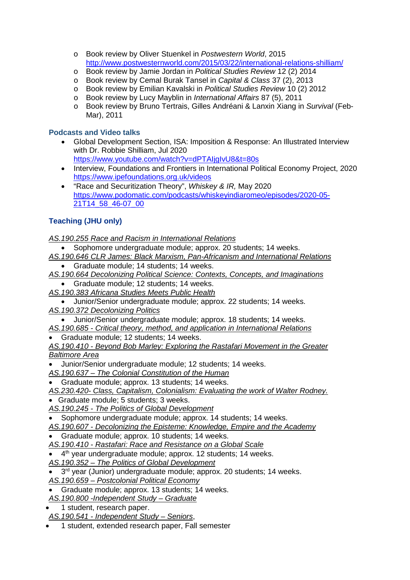- o Book review by Oliver Stuenkel in *Postwestern World*, 2015 <http://www.postwesternworld.com/2015/03/22/international-relations-shilliam/>
- o Book review by Jamie Jordan in *Political Studies Review* 12 (2) 2014
- o Book review by Cemal Burak Tansel in *Capital & Class* 37 (2), 2013
- o Book review by Emilian Kavalski in *Political Studies Review* 10 (2) 2012
- o Book review by Lucy Mayblin in *International Affairs* 87 (5), 2011
- o Book review by Bruno Tertrais, Gilles Andréani & Lanxin Xiang in *Survival* (Feb-Mar), 2011

#### **Podcasts and Video talks**

- Global Development Section, ISA: Imposition & Response: An Illustrated Interview with Dr. Robbie Shilliam, Jul 2020 <https://www.youtube.com/watch?v=dPTAIjgIvU8&t=80s>
- Interview, Foundations and Frontiers in International Political Economy Project, 2020 <https://www.ipefoundations.org.uk/videos>
- "Race and Securitization Theory", *Whiskey & IR,* May 2020 [https://www.podomatic.com/podcasts/whiskeyindiaromeo/episodes/2020-05-](https://www.podomatic.com/podcasts/whiskeyindiaromeo/episodes/2020-05-21T14_58_46-07_00) [21T14\\_58\\_46-07\\_00](https://www.podomatic.com/podcasts/whiskeyindiaromeo/episodes/2020-05-21T14_58_46-07_00)

## **Teaching (JHU only)**

*AS.190.255 Race and Racism in International Relations*

- Sophomore undergraduate module; approx. 20 students; 14 weeks.
- *AS.190.646 CLR James: Black Marxism, Pan-Africanism and International Relations* • Graduate module; 14 students; 14 weeks.
- *AS.190.664 Decolonizing Political Science: Contexts, Concepts, and Imaginations*
	- Graduate module; 12 students; 14 weeks.
- *AS.190.383 Africana Studies Meets Public Health*
- Junior/Senior undergraduate module; approx. 22 students; 14 weeks. *AS.190.372 Decolonizing Politics*
	- Junior/Senior undergraduate module; approx. 18 students; 14 weeks.
- *AS.190.685 - Critical theory, method, and application in International Relations*
- Graduate module; 12 students; 14 weeks.
- *AS.190.410 - Beyond Bob Marley: Exploring the Rastafari Movement in the Greater Baltimore Area*
- Junior/Senior undergraduate module; 12 students; 14 weeks.
- *AS.190.637 – The Colonial Constitution of the Human*
- Graduate module; approx. 13 students; 14 weeks.

*AS.230.420- Class, Capitalism, Colonialism: Evaluating the work of Walter Rodney.* • Graduate module; 5 students; 3 weeks.

- 
- *AS.190.245 - The Politics of Global Development*
- Sophomore undergraduate module; approx. 14 students; 14 weeks.
- *AS.190.607 - Decolonizing the Episteme: Knowledge, Empire and the Academy*
- Graduate module; approx. 10 students; 14 weeks.
- *AS.190.410 - Rastafari: Race and Resistance on a Global Scale*
- 4<sup>th</sup> year undergraduate module; approx. 12 students; 14 weeks.
- *AS.190.352 – The Politics of Global Development*
- 3<sup>rd</sup> vear (Junior) undergraduate module; approx. 20 students; 14 weeks.
- *AS.190.659 – Postcolonial Political Economy*
- Graduate module; approx. 13 students; 14 weeks.
- *AS.190.800 -Independent Study – Graduate*
- 1 student, research paper.
- *AS.190.541 - Independent Study – Seniors*,
- 1 student, extended research paper, Fall semester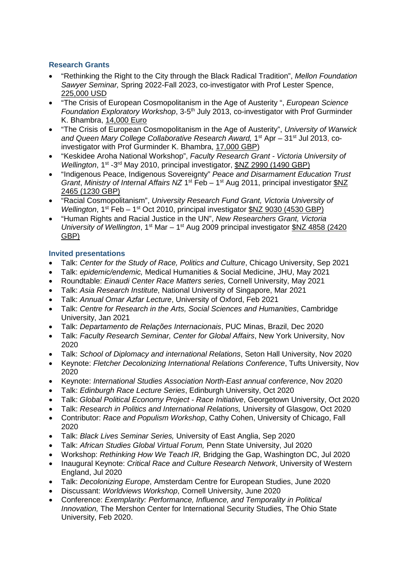## **Research Grants**

- "Rethinking the Right to the City through the Black Radical Tradition", *Mellon Foundation Sawyer Seminar,* Spring 2022-Fall 2023, co-investigator with Prof Lester Spence, 225,000 USD
- "The Crisis of European Cosmopolitanism in the Age of Austerity ", *European Science Foundation Exploratory Workshop*, 3-5<sup>th</sup> July 2013, co-investigator with Prof Gurminder K. Bhambra, 14,000 Euro
- "The Crisis of European Cosmopolitanism in the Age of Austerity", *University of Warwick*  and Queen Mary College Collaborative Research Award, 1<sup>st</sup> Apr – 31<sup>st</sup> Jul 2013, coinvestigator with Prof Gurminder K. Bhambra, 17,000 GBP)
- "Keskidee Aroha National Workshop", *Faculty Research Grant - Victoria University of Wellington*, 1<sup>st</sup> -3<sup>rd</sup> May 2010, principal investigator, \$NZ 2990 (1490 GBP)
- "Indigenous Peace, Indigenous Sovereignty" *Peace and Disarmament Education Trust Grant, Ministry of Internal Affairs NZ* 1<sup>st</sup> Feb – 1<sup>st</sup> Aug 2011, principal investigator  $NZ$ 2465 (1230 GBP)
- "Racial Cosmopolitanism", *University Research Fund Grant, Victoria University of Wellington*, 1<sup>st</sup> Feb – 1<sup>st</sup> Oct 2010, principal investigator \$NZ 9030 (4530 GBP)
- "Human Rights and Racial Justice in the UN", *New Researchers Grant, Victoria University of Wellington*, 1<sup>st</sup> Mar – 1<sup>st</sup> Aug 2009 principal investigator \$NZ 4858 (2420) GBP)

#### **Invited presentations**

- Talk: *Center for the Study of Race, Politics and Culture*, Chicago University, Sep 2021
- Talk: *epidemic/endemic,* Medical Humanities & Social Medicine, JHU, May 2021
- Roundtable: *Einaudi Center Race Matters series,* Cornell University, May 2021
- Talk: *Asia Research Institute*, National University of Singapore, Mar 2021
- Talk: *Annual Omar Azfar Lecture*, University of Oxford, Feb 2021
- Talk: *Centre for Research in the Arts, Social Sciences and Humanities*, Cambridge University, Jan 2021
- Talk: *Departamento de Relações Internacionais*, PUC Minas, Brazil, Dec 2020
- Talk: *Faculty Research Seminar, Center for Global Affairs*, New York University, Nov 2020
- Talk: *School of Diplomacy and international Relations*, Seton Hall University, Nov 2020
- Keynote: *Fletcher Decolonizing International Relations Conference*, Tufts University, Nov 2020
- Keynote: *International Studies Association North-East annual conference*, Nov 2020
- Talk: *Edinburgh Race Lecture Series*, Edinburgh University, Oct 2020
- Talk: *Global Political Economy Project - Race Initiative*, Georgetown University, Oct 2020
- Talk: *Research in Politics and International Relations*, University of Glasgow, Oct 2020
- Contributor: *Race and Populism Workshop*, Cathy Cohen, University of Chicago, Fall 2020
- Talk: *Black Lives Seminar Series,* University of East Anglia, Sep 2020
- Talk: *African Studies Global Virtual Forum,* Penn State University, Jul 2020
- Workshop: *Rethinking How We Teach IR,* Bridging the Gap, Washington DC, Jul 2020
- Inaugural Keynote: *Critical Race and Culture Research Network*, University of Western England, Jul 2020
- Talk: *Decolonizing Europe*, Amsterdam Centre for European Studies, June 2020
- Discussant: *Worldviews Workshop*, Cornell University, June 2020
- Conference: *Exemplarity: Performance, Influence, and Temporality in Political Innovation,* The Mershon Center for International Security Studies, The Ohio State University, Feb 2020.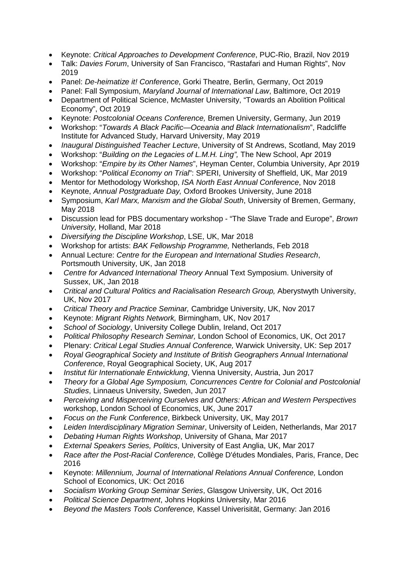- Keynote: *Critical Approaches to Development Conference*, PUC-Rio, Brazil, Nov 2019
- Talk: *Davies Forum*, University of San Francisco, "Rastafari and Human Rights", Nov 2019
- Panel: *De-heimatize it! Conference*, Gorki Theatre, Berlin, Germany, Oct 2019
- Panel: Fall Symposium, *Maryland Journal of International Law*, Baltimore, Oct 2019
- Department of Political Science, McMaster University, "Towards an Abolition Political Economy", Oct 2019
- Keynote: *Postcolonial Oceans Conference,* Bremen University, Germany, Jun 2019
- Workshop: "*Towards A Black Pacific—Oceania and Black Internationalism*", Radcliffe Institute for Advanced Study, Harvard University, May 2019
- *Inaugural Distinguished Teacher Lecture*, University of St Andrews, Scotland, May 2019
- Workshop: "*Building on the Legacies of L.M.H. Ling",* The New School, Apr 2019
- Workshop: "*Empire by its Other Names*", Heyman Center, Columbia University, Apr 2019
- Workshop: "*Political Economy on Trial*": SPERI, University of Sheffield, UK, Mar 2019
- Mentor for Methodology Workshop, *ISA North East Annual Conference*, Nov 2018
- Keynote, *Annual Postgraduate Day,* Oxford Brookes University, June 2018
- Symposium, *Karl Marx, Marxism and the Global South*, University of Bremen, Germany, May 2018
- Discussion lead for PBS documentary workshop "The Slave Trade and Europe", *Brown University,* Holland, Mar 2018
- *Diversifying the Discipline Workshop*, LSE, UK, Mar 2018
- Workshop for artists: *BAK Fellowship Programme,* Netherlands, Feb 2018
- Annual Lecture: *Centre for the European and International Studies Research*, Portsmouth University, UK, Jan 2018
- *Centre for Advanced International Theory* Annual Text Symposium. University of Sussex, UK, Jan 2018
- Critical and Cultural Politics and Racialisation Research Group, Aberystwyth University, UK, Nov 2017
- *Critical Theory and Practice Seminar,* Cambridge University, UK, Nov 2017
- Keynote: *Migrant Rights Network,* Birmingham, UK, Nov 2017
- *School of Sociology*, University College Dublin, Ireland, Oct 2017
- *Political Philosophy Research Seminar,* London School of Economics, UK, Oct 2017
- Plenary: *Critical Legal Studies Annual Conference,* Warwick University, UK: Sep 2017
- *Royal Geographical Society and Institute of British Geographers Annual International Conference*, Royal Geographical Society, UK, Aug 2017
- *Institut für Internationale Entwicklung*, Vienna University, Austria, Jun 2017
- *Theory for a Global Age Symposium, Concurrences Centre for Colonial and Postcolonial Studies*, Linnaeus University, Sweden, Jun 2017
- *Perceiving and Misperceiving Ourselves and Others: African and Western Perspectives*  workshop, London School of Economics, UK, June 2017
- *Focus on the Funk Conference*, Birkbeck University, UK, May 2017
- *Leiden Interdisciplinary Migration Seminar*, University of Leiden, Netherlands, Mar 2017
- *Debating Human Rights Workshop*, University of Ghana, Mar 2017
- *External Speakers Series, Politics*, University of East Anglia, UK, Mar 2017
- *Race after the Post-Racial Conference*, Collège D'études Mondiales, Paris, France, Dec 2016
- Keynote: *Millennium, Journal of International Relations Annual Conference,* London School of Economics, UK: Oct 2016
- *Socialism Working Group Seminar Series*, Glasgow University, UK, Oct 2016
- *Political Science Department*, Johns Hopkins University, Mar 2016
- *Beyond the Masters Tools Conference,* Kassel Univerisität, Germany: Jan 2016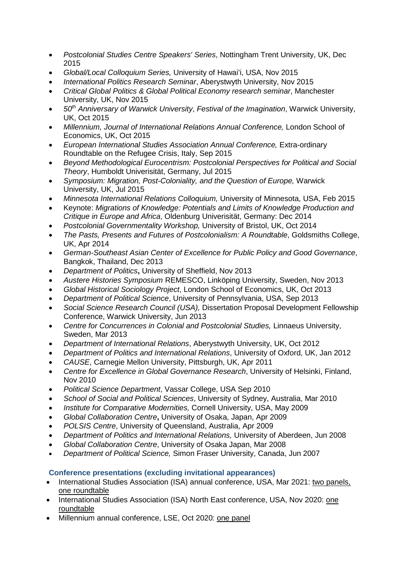- *Postcolonial Studies Centre Speakers' Series*, Nottingham Trent University, UK, Dec 2015
- *Global/Local Colloquium Series,* University of Hawai'i, USA, Nov 2015
- *International Politics Research Seminar*, Aberystwyth University, Nov 2015
- *Critical Global Politics & Global Political Economy research seminar*, Manchester University, UK, Nov 2015
- *50th Anniversary of Warwick University*, *Festival of the Imagination*, Warwick University, UK, Oct 2015
- *Millennium, Journal of International Relations Annual Conference,* London School of Economics, UK, Oct 2015
- *European International Studies Association Annual Conference,* Extra-ordinary Roundtable on the Refugee Crisis, Italy, Sep 2015
- *Beyond Methodological Eurocentrism: Postcolonial Perspectives for Political and Social Theory*, Humboldt Univerisität, Germany, Jul 2015
- *Symposium: Migration, Post-Coloniality, and the Question of Europe,* Warwick University, UK, Jul 2015
- *Minnesota International Relations Colloquium,* University of Minnesota, USA, Feb 2015
- Keynote: *Migrations of Knowledge: Potentials and Limits of Knowledge Production and Critique in Europe and Africa*, Oldenburg Univerisität, Germany: Dec 2014
- *Postcolonial Governmentality Workshop,* University of Bristol, UK, Oct 2014
- *The Pasts, Presents and Futures of Postcolonialism: A Roundtable*, Goldsmiths College, UK, Apr 2014
- *German-Southeast Asian Center of Excellence for Public Policy and Good Governance*, Bangkok, Thailand, Dec 2013
- *Department of Politics***,** University of Sheffield, Nov 2013
- *Austere Histories Symposium* REMESCO, Linköping University, Sweden, Nov 2013
- *Global Historical Sociology Project*, London School of Economics, UK, Oct 2013
- *Department of Political Science*, University of Pennsylvania, USA, Sep 2013
- *Social Science Research Council (USA),* Dissertation Proposal Development Fellowship Conference, Warwick University, Jun 2013
- Centre for Concurrences in Colonial and Postcolonial Studies, Linnaeus University, Sweden, Mar 2013
- *Department of International Relations*, Aberystwyth University, UK, Oct 2012
- *Department of Politics and International Relations*, University of Oxford, UK, Jan 2012
- *CAUSE*, Carnegie Mellon University, Pittsburgh, UK, Apr 2011
- *Centre for Excellence in Global Governance Research*, University of Helsinki, Finland, Nov 2010
- *Political Science Department*, Vassar College, USA Sep 2010
- *School of Social and Political Sciences*, University of Sydney, Australia, Mar 2010
- *Institute for Comparative Modernities,* Cornell University, USA, May 2009
- *Global Collaboration Centre***,** University of Osaka, Japan, Apr 2009
- *POLSIS Centre*, University of Queensland, Australia, Apr 2009
- *Department of Politics and International Relations,* University of Aberdeen, Jun 2008
- *Global Collaboration Centre*, University of Osaka Japan, Mar 2008
- *Department of Political Science,* Simon Fraser University, Canada, Jun 2007

## **Conference presentations (excluding invitational appearances)**

- International Studies Association (ISA) annual conference, USA, Mar 2021: two panels, one roundtable
- International Studies Association (ISA) North East conference, USA, Nov 2020: one roundtable
- Millennium annual conference, LSE, Oct 2020: one panel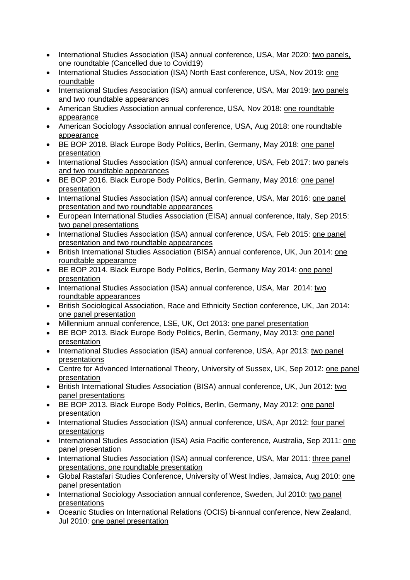- International Studies Association (ISA) annual conference, USA, Mar 2020: two panels, one roundtable (Cancelled due to Covid19)
- International Studies Association (ISA) North East conference, USA, Nov 2019: one roundtable
- International Studies Association (ISA) annual conference, USA, Mar 2019: two panels and two roundtable appearances
- American Studies Association annual conference, USA, Nov 2018: one roundtable appearance
- American Sociology Association annual conference, USA, Aug 2018: one roundtable appearance
- BE BOP 2018. Black Europe Body Politics, Berlin, Germany, May 2018: one panel presentation
- International Studies Association (ISA) annual conference, USA, Feb 2017: two panels and two roundtable appearances
- BE BOP 2016. Black Europe Body Politics, Berlin, Germany, May 2016: one panel presentation
- International Studies Association (ISA) annual conference, USA, Mar 2016: one panel presentation and two roundtable appearances
- European International Studies Association (EISA) annual conference, Italy, Sep 2015: two panel presentations
- International Studies Association (ISA) annual conference, USA, Feb 2015: one panel presentation and two roundtable appearances
- British International Studies Association (BISA) annual conference, UK, Jun 2014: one roundtable appearance
- BE BOP 2014. Black Europe Body Politics, Berlin, Germany May 2014: one panel presentation
- International Studies Association (ISA) annual conference, USA, Mar 2014: two roundtable appearances
- British Sociological Association, Race and Ethnicity Section conference, UK, Jan 2014: one panel presentation
- Millennium annual conference, LSE, UK, Oct 2013: one panel presentation
- BE BOP 2013. Black Europe Body Politics, Berlin, Germany, May 2013: one panel presentation
- International Studies Association (ISA) annual conference, USA, Apr 2013: two panel presentations
- Centre for Advanced International Theory, University of Sussex, UK, Sep 2012: one panel presentation
- British International Studies Association (BISA) annual conference, UK, Jun 2012: two panel presentations
- BE BOP 2013. Black Europe Body Politics, Berlin, Germany, May 2012: one panel presentation
- International Studies Association (ISA) annual conference, USA, Apr 2012: four panel presentations
- International Studies Association (ISA) Asia Pacific conference, Australia, Sep 2011: one panel presentation
- International Studies Association (ISA) annual conference, USA, Mar 2011: three panel presentations, one roundtable presentation
- Global Rastafari Studies Conference, University of West Indies, Jamaica, Aug 2010: one panel presentation
- International Sociology Association annual conference, Sweden, Jul 2010: two panel presentations
- Oceanic Studies on International Relations (OCIS) bi-annual conference, New Zealand, Jul 2010: one panel presentation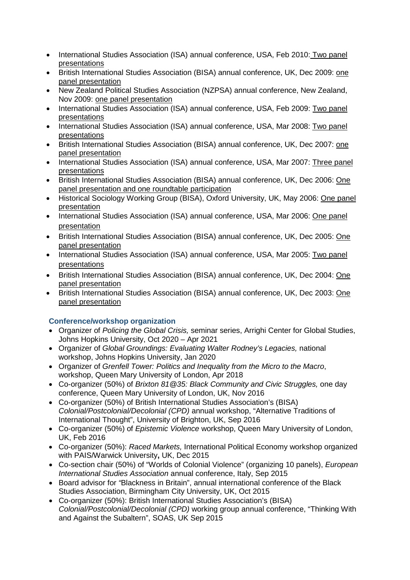- International Studies Association (ISA) annual conference, USA, Feb 2010: Two panel presentations
- British International Studies Association (BISA) annual conference, UK, Dec 2009: one panel presentation
- New Zealand Political Studies Association (NZPSA) annual conference, New Zealand, Nov 2009: one panel presentation
- International Studies Association (ISA) annual conference, USA, Feb 2009: Two panel presentations
- International Studies Association (ISA) annual conference, USA, Mar 2008: Two panel presentations
- British International Studies Association (BISA) annual conference, UK, Dec 2007: one panel presentation
- International Studies Association (ISA) annual conference, USA, Mar 2007: Three panel presentations
- British International Studies Association (BISA) annual conference, UK, Dec 2006: One panel presentation and one roundtable participation
- Historical Sociology Working Group (BISA), Oxford University, UK, May 2006: One panel presentation
- International Studies Association (ISA) annual conference, USA, Mar 2006: One panel presentation
- British International Studies Association (BISA) annual conference, UK, Dec 2005: One panel presentation
- International Studies Association (ISA) annual conference, USA, Mar 2005: Two panel presentations
- British International Studies Association (BISA) annual conference, UK, Dec 2004: One panel presentation
- British International Studies Association (BISA) annual conference, UK, Dec 2003: One panel presentation

## **Conference/workshop organization**

- Organizer of *Policing the Global Crisis,* seminar series, Arrighi Center for Global Studies, Johns Hopkins University, Oct 2020 – Apr 2021
- Organizer of *Global Groundings: Evaluating Walter Rodney's Legacies,* national workshop, Johns Hopkins University, Jan 2020
- Organizer of *Grenfell Tower: Politics and Inequality from the Micro to the Macro*, workshop, Queen Mary University of London, Apr 2018
- Co-organizer (50%) of *Brixton 81@35: Black Community and Civic Struggles,* one day conference, Queen Mary University of London, UK, Nov 2016
- Co-organizer (50%) of British International Studies Association's (BISA) *Colonial/Postcolonial/Decolonial (CPD)* annual workshop, "Alternative Traditions of International Thought", University of Brighton, UK, Sep 2016
- Co-organizer (50%) of *Epistemic Violence* workshop, Queen Mary University of London, UK, Feb 2016
- Co-organizer (50%): *Raced Markets,* International Political Economy workshop organized with PAIS/Warwick University**,** UK, Dec 2015
- Co-section chair (50%) of "Worlds of Colonial Violence" (organizing 10 panels), *European International Studies Association* annual conference, Italy, Sep 2015
- Board advisor for *"*Blackness in Britain", annual international conference of the Black Studies Association, Birmingham City University, UK, Oct 2015
- Co-organizer (50%): British International Studies Association's (BISA) *Colonial/Postcolonial/Decolonial (CPD)* working group annual conference, "Thinking With and Against the Subaltern", SOAS, UK Sep 2015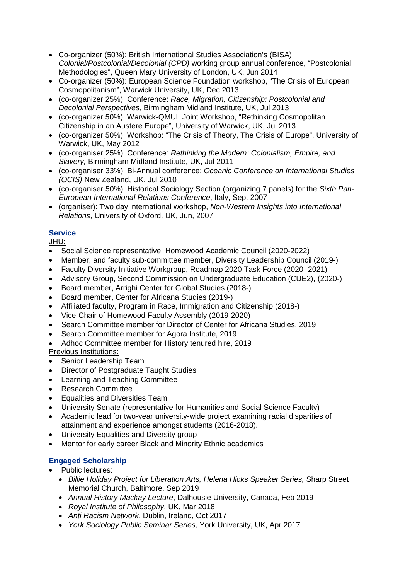- Co-organizer (50%): British International Studies Association's (BISA) *Colonial/Postcolonial/Decolonial (CPD)* working group annual conference, "Postcolonial Methodologies", Queen Mary University of London, UK, Jun 2014
- Co-organizer (50%): European Science Foundation workshop, "The Crisis of European Cosmopolitanism", Warwick University, UK, Dec 2013
- (co-organizer 25%): Conference: *Race, Migration, Citizenship: Postcolonial and Decolonial Perspectives,* Birmingham Midland Institute, UK, Jul 2013
- (co-organizer 50%): Warwick-QMUL Joint Workshop, "Rethinking Cosmopolitan Citizenship in an Austere Europe", University of Warwick, UK, Jul 2013
- (co-organizer 50%): Workshop: "The Crisis of Theory, The Crisis of Europe", University of Warwick, UK, May 2012
- (co-organiser 25%): Conference: *Rethinking the Modern: Colonialism, Empire, and Slavery,* Birmingham Midland Institute, UK, Jul 2011
- (co-organiser 33%): Bi-Annual conference: *Oceanic Conference on International Studies (OCIS)* New Zealand, UK, Jul 2010
- (co-organiser 50%): Historical Sociology Section (organizing 7 panels) for the *Sixth Pan-European International Relations Conference*, Italy, Sep, 2007
- (organiser): Two day international workshop, *Non-Western Insights into International Relations*, University of Oxford, UK, Jun, 2007

# **Service**

JHU:

- Social Science representative, Homewood Academic Council (2020-2022)
- Member, and faculty sub-committee member, Diversity Leadership Council (2019-)
- Faculty Diversity Initiative Workgroup, Roadmap 2020 Task Force (2020 -2021)
- Advisory Group, Second Commission on Undergraduate Education (CUE2), (2020-)
- Board member, Arrighi Center for Global Studies (2018-)
- Board member, Center for Africana Studies (2019-)
- Affiliated faculty, Program in Race, Immigration and Citizenship (2018-)
- Vice-Chair of Homewood Faculty Assembly (2019-2020)
- Search Committee member for Director of Center for Africana Studies, 2019
- Search Committee member for Agora Institute, 2019
- Adhoc Committee member for History tenured hire, 2019

Previous Institutions:

- Senior Leadership Team
- Director of Postgraduate Taught Studies
- Learning and Teaching Committee
- Research Committee
- Equalities and Diversities Team
- University Senate (representative for Humanities and Social Science Faculty)
- Academic lead for two-year university-wide project examining racial disparities of attainment and experience amongst students (2016-2018).
- University Equalities and Diversity group
- Mentor for early career Black and Minority Ethnic academics

## **Engaged Scholarship**

- Public lectures:
	- *Billie Holiday Project for Liberation Arts, Helena Hicks Speaker Series,* Sharp Street Memorial Church, Baltimore, Sep 2019
	- *Annual History Mackay Lecture*, Dalhousie University, Canada, Feb 2019
	- *Royal Institute of Philosophy*, UK, Mar 2018
	- *Anti Racism Network*, Dublin, Ireland, Oct 2017
	- *York Sociology Public Seminar Series,* York University, UK, Apr 2017